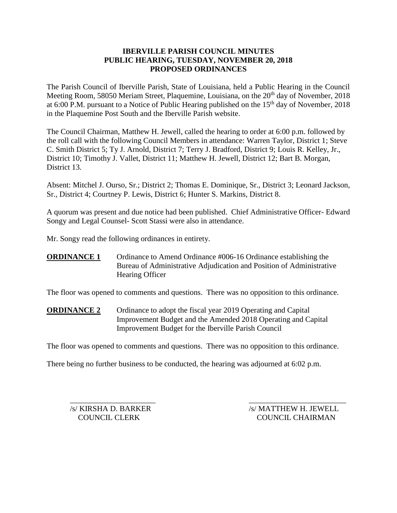## **IBERVILLE PARISH COUNCIL MINUTES PUBLIC HEARING, TUESDAY, NOVEMBER 20, 2018 PROPOSED ORDINANCES**

The Parish Council of Iberville Parish, State of Louisiana, held a Public Hearing in the Council Meeting Room, 58050 Meriam Street, Plaquemine, Louisiana, on the 20<sup>th</sup> day of November, 2018 at 6:00 P.M. pursuant to a Notice of Public Hearing published on the  $15<sup>th</sup>$  day of November, 2018 in the Plaquemine Post South and the Iberville Parish website.

The Council Chairman, Matthew H. Jewell, called the hearing to order at 6:00 p.m. followed by the roll call with the following Council Members in attendance: Warren Taylor, District 1; Steve C. Smith District 5; Ty J. Arnold, District 7; Terry J. Bradford, District 9; Louis R. Kelley, Jr., District 10; Timothy J. Vallet, District 11; Matthew H. Jewell, District 12; Bart B. Morgan, District 13.

Absent: Mitchel J. Ourso, Sr.; District 2; Thomas E. Dominique, Sr., District 3; Leonard Jackson, Sr., District 4; Courtney P. Lewis, District 6; Hunter S. Markins, District 8.

A quorum was present and due notice had been published. Chief Administrative Officer- Edward Songy and Legal Counsel- Scott Stassi were also in attendance.

Mr. Songy read the following ordinances in entirety.

**ORDINANCE 1** Ordinance to Amend Ordinance #006-16 Ordinance establishing the Bureau of Administrative Adjudication and Position of Administrative Hearing Officer

The floor was opened to comments and questions. There was no opposition to this ordinance.

**ORDINANCE 2** Ordinance to adopt the fiscal year 2019 Operating and Capital Improvement Budget and the Amended 2018 Operating and Capital Improvement Budget for the Iberville Parish Council

The floor was opened to comments and questions. There was no opposition to this ordinance.

There being no further business to be conducted, the hearing was adjourned at 6:02 p.m.

 $\overline{\phantom{a}}$  , and the contract of the contract of the contract of the contract of the contract of the contract of the contract of the contract of the contract of the contract of the contract of the contract of the contrac /s/ KIRSHA D. BARKER /s/ MATTHEW H. JEWELL COUNCIL CLERK COUNCIL CHAIRMAN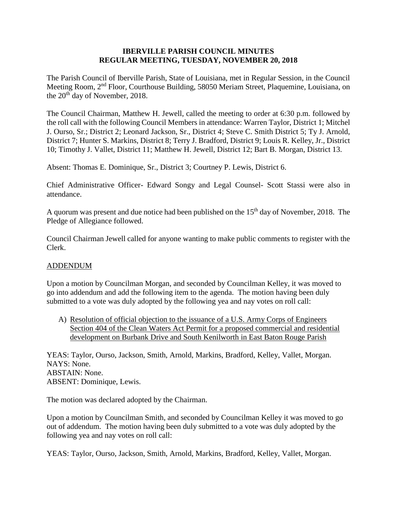### **IBERVILLE PARISH COUNCIL MINUTES REGULAR MEETING, TUESDAY, NOVEMBER 20, 2018**

The Parish Council of Iberville Parish, State of Louisiana, met in Regular Session, in the Council Meeting Room, 2nd Floor, Courthouse Building, 58050 Meriam Street, Plaquemine, Louisiana, on the 20<sup>th</sup> day of November, 2018.

The Council Chairman, Matthew H. Jewell, called the meeting to order at 6:30 p.m. followed by the roll call with the following Council Members in attendance: Warren Taylor, District 1; Mitchel J. Ourso, Sr.; District 2; Leonard Jackson, Sr., District 4; Steve C. Smith District 5; Ty J. Arnold, District 7; Hunter S. Markins, District 8; Terry J. Bradford, District 9; Louis R. Kelley, Jr., District 10; Timothy J. Vallet, District 11; Matthew H. Jewell, District 12; Bart B. Morgan, District 13.

Absent: Thomas E. Dominique, Sr., District 3; Courtney P. Lewis, District 6.

Chief Administrative Officer- Edward Songy and Legal Counsel- Scott Stassi were also in attendance.

A quorum was present and due notice had been published on the  $15<sup>th</sup>$  day of November, 2018. The Pledge of Allegiance followed.

Council Chairman Jewell called for anyone wanting to make public comments to register with the Clerk.

### ADDENDUM

Upon a motion by Councilman Morgan, and seconded by Councilman Kelley, it was moved to go into addendum and add the following item to the agenda. The motion having been duly submitted to a vote was duly adopted by the following yea and nay votes on roll call:

A) Resolution of official objection to the issuance of a U.S. Army Corps of Engineers Section 404 of the Clean Waters Act Permit for a proposed commercial and residential development on Burbank Drive and South Kenilworth in East Baton Rouge Parish

YEAS: Taylor, Ourso, Jackson, Smith, Arnold, Markins, Bradford, Kelley, Vallet, Morgan. NAYS: None. ABSTAIN: None. ABSENT: Dominique, Lewis.

The motion was declared adopted by the Chairman.

Upon a motion by Councilman Smith, and seconded by Councilman Kelley it was moved to go out of addendum. The motion having been duly submitted to a vote was duly adopted by the following yea and nay votes on roll call:

YEAS: Taylor, Ourso, Jackson, Smith, Arnold, Markins, Bradford, Kelley, Vallet, Morgan.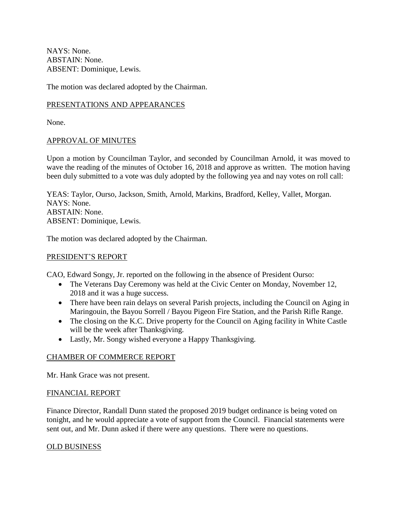NAYS: None. ABSTAIN: None. ABSENT: Dominique, Lewis.

The motion was declared adopted by the Chairman.

## PRESENTATIONS AND APPEARANCES

None.

## APPROVAL OF MINUTES

Upon a motion by Councilman Taylor, and seconded by Councilman Arnold, it was moved to wave the reading of the minutes of October 16, 2018 and approve as written. The motion having been duly submitted to a vote was duly adopted by the following yea and nay votes on roll call:

YEAS: Taylor, Ourso, Jackson, Smith, Arnold, Markins, Bradford, Kelley, Vallet, Morgan. NAYS: None. ABSTAIN: None. ABSENT: Dominique, Lewis.

The motion was declared adopted by the Chairman.

### PRESIDENT'S REPORT

CAO, Edward Songy, Jr. reported on the following in the absence of President Ourso:

- The Veterans Day Ceremony was held at the Civic Center on Monday, November 12, 2018 and it was a huge success.
- There have been rain delays on several Parish projects, including the Council on Aging in Maringouin, the Bayou Sorrell / Bayou Pigeon Fire Station, and the Parish Rifle Range.
- The closing on the K.C. Drive property for the Council on Aging facility in White Castle will be the week after Thanksgiving.
- Lastly, Mr. Songy wished everyone a Happy Thanksgiving.

## CHAMBER OF COMMERCE REPORT

Mr. Hank Grace was not present.

### FINANCIAL REPORT

Finance Director, Randall Dunn stated the proposed 2019 budget ordinance is being voted on tonight, and he would appreciate a vote of support from the Council. Financial statements were sent out, and Mr. Dunn asked if there were any questions. There were no questions.

### OLD BUSINESS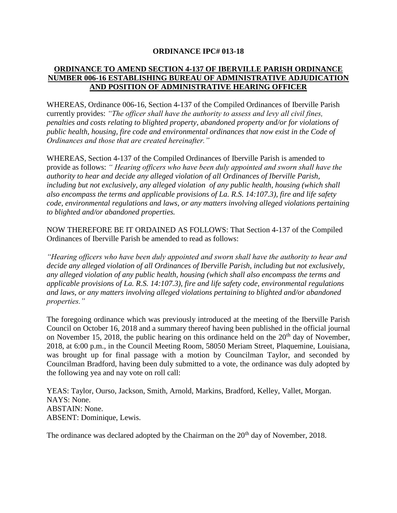### **ORDINANCE IPC# 013-18**

## **ORDINANCE TO AMEND SECTION 4-137 OF IBERVILLE PARISH ORDINANCE NUMBER 006-16 ESTABLISHING BUREAU OF ADMINISTRATIVE ADJUDICATION AND POSITION OF ADMINISTRATIVE HEARING OFFICER**

WHEREAS, Ordinance 006-16, Section 4-137 of the Compiled Ordinances of Iberville Parish currently provides: *"The officer shall have the authority to assess and levy all civil fines, penalties and costs relating to blighted property, abandoned property and/or for violations of public health, housing, fire code and environmental ordinances that now exist in the Code of Ordinances and those that are created hereinafter."*

WHEREAS, Section 4-137 of the Compiled Ordinances of Iberville Parish is amended to provide as follows: *" Hearing officers who have been duly appointed and sworn shall have the authority to hear and decide any alleged violation of all Ordinances of Iberville Parish, including but not exclusively, any alleged violation of any public health, housing (which shall also encompass the terms and applicable provisions of La. R.S. 14:107.3), fire and life safety code, environmental regulations and laws, or any matters involving alleged violations pertaining to blighted and/or abandoned properties.*

NOW THEREFORE BE IT ORDAINED AS FOLLOWS: That Section 4-137 of the Compiled Ordinances of Iberville Parish be amended to read as follows:

*"Hearing officers who have been duly appointed and sworn shall have the authority to hear and decide any alleged violation of all Ordinances of Iberville Parish, including but not exclusively, any alleged violation of any public health, housing (which shall also encompass the terms and applicable provisions of La. R.S. 14:107.3), fire and life safety code, environmental regulations and laws, or any matters involving alleged violations pertaining to blighted and/or abandoned properties."*

The foregoing ordinance which was previously introduced at the meeting of the Iberville Parish Council on October 16, 2018 and a summary thereof having been published in the official journal on November 15, 2018, the public hearing on this ordinance held on the  $20<sup>th</sup>$  day of November, 2018, at 6:00 p.m., in the Council Meeting Room, 58050 Meriam Street, Plaquemine, Louisiana, was brought up for final passage with a motion by Councilman Taylor, and seconded by Councilman Bradford, having been duly submitted to a vote, the ordinance was duly adopted by the following yea and nay vote on roll call:

YEAS: Taylor, Ourso, Jackson, Smith, Arnold, Markins, Bradford, Kelley, Vallet, Morgan. NAYS: None. ABSTAIN: None. ABSENT: Dominique, Lewis.

The ordinance was declared adopted by the Chairman on the 20<sup>th</sup> day of November, 2018.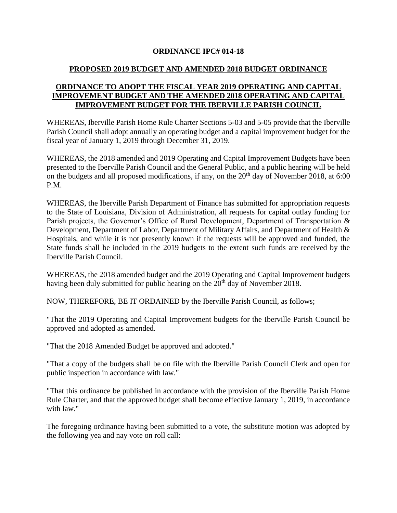## **ORDINANCE IPC# 014-18**

## **PROPOSED 2019 BUDGET AND AMENDED 2018 BUDGET ORDINANCE**

## **ORDINANCE TO ADOPT THE FISCAL YEAR 2019 OPERATING AND CAPITAL IMPROVEMENT BUDGET AND THE AMENDED 2018 OPERATING AND CAPITAL IMPROVEMENT BUDGET FOR THE IBERVILLE PARISH COUNCIL**

WHEREAS, Iberville Parish Home Rule Charter Sections 5-03 and 5-05 provide that the Iberville Parish Council shall adopt annually an operating budget and a capital improvement budget for the fiscal year of January 1, 2019 through December 31, 2019.

WHEREAS, the 2018 amended and 2019 Operating and Capital Improvement Budgets have been presented to the Iberville Parish Council and the General Public, and a public hearing will be held on the budgets and all proposed modifications, if any, on the  $20<sup>th</sup>$  day of November 2018, at 6:00 P.M.

WHEREAS, the Iberville Parish Department of Finance has submitted for appropriation requests to the State of Louisiana, Division of Administration, all requests for capital outlay funding for Parish projects, the Governor's Office of Rural Development, Department of Transportation & Development, Department of Labor, Department of Military Affairs, and Department of Health & Hospitals, and while it is not presently known if the requests will be approved and funded, the State funds shall be included in the 2019 budgets to the extent such funds are received by the Iberville Parish Council.

WHEREAS, the 2018 amended budget and the 2019 Operating and Capital Improvement budgets having been duly submitted for public hearing on the 20<sup>th</sup> day of November 2018.

NOW, THEREFORE, BE IT ORDAINED by the Iberville Parish Council, as follows;

"That the 2019 Operating and Capital Improvement budgets for the Iberville Parish Council be approved and adopted as amended.

"That the 2018 Amended Budget be approved and adopted."

"That a copy of the budgets shall be on file with the Iberville Parish Council Clerk and open for public inspection in accordance with law."

"That this ordinance be published in accordance with the provision of the Iberville Parish Home Rule Charter, and that the approved budget shall become effective January 1, 2019, in accordance with law."

The foregoing ordinance having been submitted to a vote, the substitute motion was adopted by the following yea and nay vote on roll call: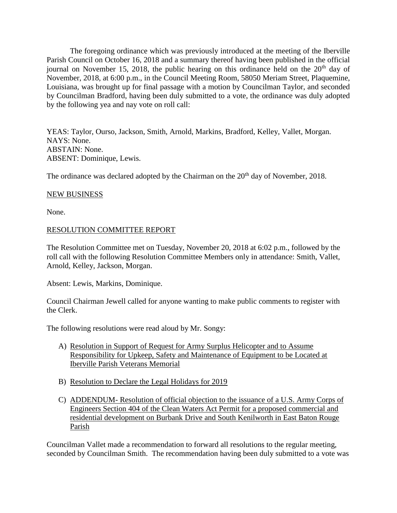The foregoing ordinance which was previously introduced at the meeting of the Iberville Parish Council on October 16, 2018 and a summary thereof having been published in the official journal on November 15, 2018, the public hearing on this ordinance held on the  $20<sup>th</sup>$  day of November, 2018, at 6:00 p.m., in the Council Meeting Room, 58050 Meriam Street, Plaquemine, Louisiana, was brought up for final passage with a motion by Councilman Taylor, and seconded by Councilman Bradford, having been duly submitted to a vote, the ordinance was duly adopted by the following yea and nay vote on roll call:

YEAS: Taylor, Ourso, Jackson, Smith, Arnold, Markins, Bradford, Kelley, Vallet, Morgan. NAYS: None. ABSTAIN: None. ABSENT: Dominique, Lewis.

The ordinance was declared adopted by the Chairman on the 20<sup>th</sup> day of November, 2018.

### NEW BUSINESS

None.

## RESOLUTION COMMITTEE REPORT

The Resolution Committee met on Tuesday, November 20, 2018 at 6:02 p.m., followed by the roll call with the following Resolution Committee Members only in attendance: Smith, Vallet, Arnold, Kelley, Jackson, Morgan.

Absent: Lewis, Markins, Dominique.

Council Chairman Jewell called for anyone wanting to make public comments to register with the Clerk.

The following resolutions were read aloud by Mr. Songy:

- A) Resolution in Support of Request for Army Surplus Helicopter and to Assume Responsibility for Upkeep, Safety and Maintenance of Equipment to be Located at Iberville Parish Veterans Memorial
- B) Resolution to Declare the Legal Holidays for 2019
- C) ADDENDUM- Resolution of official objection to the issuance of a U.S. Army Corps of Engineers Section 404 of the Clean Waters Act Permit for a proposed commercial and residential development on Burbank Drive and South Kenilworth in East Baton Rouge Parish

Councilman Vallet made a recommendation to forward all resolutions to the regular meeting, seconded by Councilman Smith. The recommendation having been duly submitted to a vote was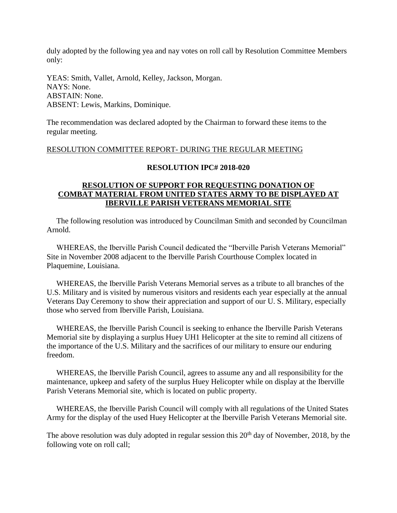duly adopted by the following yea and nay votes on roll call by Resolution Committee Members only:

YEAS: Smith, Vallet, Arnold, Kelley, Jackson, Morgan. NAYS: None. ABSTAIN: None. ABSENT: Lewis, Markins, Dominique.

The recommendation was declared adopted by the Chairman to forward these items to the regular meeting.

### RESOLUTION COMMITTEE REPORT- DURING THE REGULAR MEETING

### **RESOLUTION IPC# 2018-020**

## **RESOLUTION OF SUPPORT FOR REQUESTING DONATION OF COMBAT MATERIAL FROM UNITED STATES ARMY TO BE DISPLAYED AT IBERVILLE PARISH VETERANS MEMORIAL SITE**

 The following resolution was introduced by Councilman Smith and seconded by Councilman Arnold.

 WHEREAS, the Iberville Parish Council dedicated the "Iberville Parish Veterans Memorial" Site in November 2008 adjacent to the Iberville Parish Courthouse Complex located in Plaquemine, Louisiana.

 WHEREAS, the Iberville Parish Veterans Memorial serves as a tribute to all branches of the U.S. Military and is visited by numerous visitors and residents each year especially at the annual Veterans Day Ceremony to show their appreciation and support of our U. S. Military, especially those who served from Iberville Parish, Louisiana.

 WHEREAS, the Iberville Parish Council is seeking to enhance the Iberville Parish Veterans Memorial site by displaying a surplus Huey UH1 Helicopter at the site to remind all citizens of the importance of the U.S. Military and the sacrifices of our military to ensure our enduring freedom.

 WHEREAS, the Iberville Parish Council, agrees to assume any and all responsibility for the maintenance, upkeep and safety of the surplus Huey Helicopter while on display at the Iberville Parish Veterans Memorial site, which is located on public property.

 WHEREAS, the Iberville Parish Council will comply with all regulations of the United States Army for the display of the used Huey Helicopter at the Iberville Parish Veterans Memorial site.

The above resolution was duly adopted in regular session this  $20<sup>th</sup>$  day of November, 2018, by the following vote on roll call;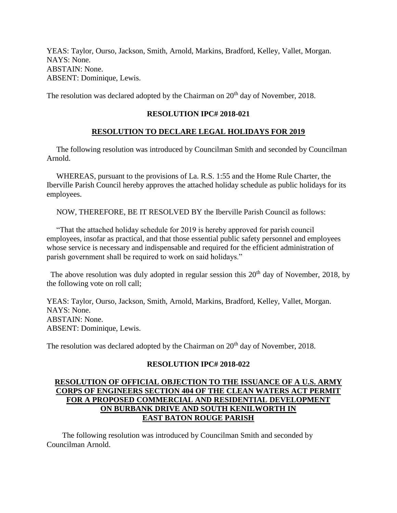YEAS: Taylor, Ourso, Jackson, Smith, Arnold, Markins, Bradford, Kelley, Vallet, Morgan. NAYS: None. ABSTAIN: None. ABSENT: Dominique, Lewis.

The resolution was declared adopted by the Chairman on  $20<sup>th</sup>$  day of November, 2018.

# **RESOLUTION IPC# 2018-021**

# **RESOLUTION TO DECLARE LEGAL HOLIDAYS FOR 2019**

 The following resolution was introduced by Councilman Smith and seconded by Councilman Arnold.

 WHEREAS, pursuant to the provisions of La. R.S. 1:55 and the Home Rule Charter, the Iberville Parish Council hereby approves the attached holiday schedule as public holidays for its employees.

NOW, THEREFORE, BE IT RESOLVED BY the Iberville Parish Council as follows:

 "That the attached holiday schedule for 2019 is hereby approved for parish council employees, insofar as practical, and that those essential public safety personnel and employees whose service is necessary and indispensable and required for the efficient administration of parish government shall be required to work on said holidays."

The above resolution was duly adopted in regular session this  $20<sup>th</sup>$  day of November, 2018, by the following vote on roll call;

YEAS: Taylor, Ourso, Jackson, Smith, Arnold, Markins, Bradford, Kelley, Vallet, Morgan. NAYS: None. ABSTAIN: None. ABSENT: Dominique, Lewis.

The resolution was declared adopted by the Chairman on  $20<sup>th</sup>$  day of November, 2018.

## **RESOLUTION IPC# 2018-022**

## **RESOLUTION OF OFFICIAL OBJECTION TO THE ISSUANCE OF A U.S. ARMY CORPS OF ENGINEERS SECTION 404 OF THE CLEAN WATERS ACT PERMIT FOR A PROPOSED COMMERCIAL AND RESIDENTIAL DEVELOPMENT ON BURBANK DRIVE AND SOUTH KENILWORTH IN EAST BATON ROUGE PARISH**

 The following resolution was introduced by Councilman Smith and seconded by Councilman Arnold.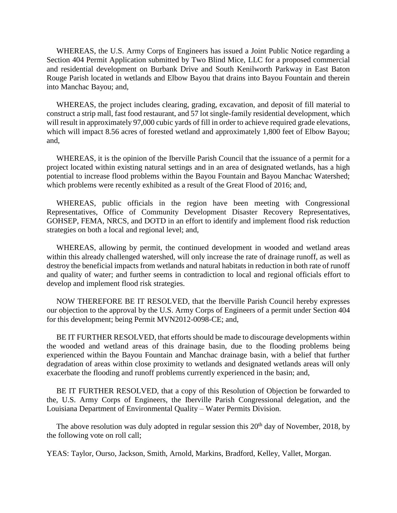WHEREAS, the U.S. Army Corps of Engineers has issued a Joint Public Notice regarding a Section 404 Permit Application submitted by Two Blind Mice, LLC for a proposed commercial and residential development on Burbank Drive and South Kenilworth Parkway in East Baton Rouge Parish located in wetlands and Elbow Bayou that drains into Bayou Fountain and therein into Manchac Bayou; and,

 WHEREAS, the project includes clearing, grading, excavation, and deposit of fill material to construct a strip mall, fast food restaurant, and 57 lot single-family residential development, which will result in approximately 97,000 cubic yards of fill in order to achieve required grade elevations, which will impact 8.56 acres of forested wetland and approximately 1,800 feet of Elbow Bayou; and,

 WHEREAS, it is the opinion of the Iberville Parish Council that the issuance of a permit for a project located within existing natural settings and in an area of designated wetlands, has a high potential to increase flood problems within the Bayou Fountain and Bayou Manchac Watershed; which problems were recently exhibited as a result of the Great Flood of 2016; and,

 WHEREAS, public officials in the region have been meeting with Congressional Representatives, Office of Community Development Disaster Recovery Representatives, GOHSEP, FEMA, NRCS, and DOTD in an effort to identify and implement flood risk reduction strategies on both a local and regional level; and,

 WHEREAS, allowing by permit, the continued development in wooded and wetland areas within this already challenged watershed, will only increase the rate of drainage runoff, as well as destroy the beneficial impacts from wetlands and natural habitats in reduction in both rate of runoff and quality of water; and further seems in contradiction to local and regional officials effort to develop and implement flood risk strategies.

 NOW THEREFORE BE IT RESOLVED, that the Iberville Parish Council hereby expresses our objection to the approval by the U.S. Army Corps of Engineers of a permit under Section 404 for this development; being Permit MVN2012-0098-CE; and,

 BE IT FURTHER RESOLVED, that efforts should be made to discourage developments within the wooded and wetland areas of this drainage basin, due to the flooding problems being experienced within the Bayou Fountain and Manchac drainage basin, with a belief that further degradation of areas within close proximity to wetlands and designated wetlands areas will only exacerbate the flooding and runoff problems currently experienced in the basin; and,

 BE IT FURTHER RESOLVED, that a copy of this Resolution of Objection be forwarded to the, U.S. Army Corps of Engineers, the Iberville Parish Congressional delegation, and the Louisiana Department of Environmental Quality – Water Permits Division.

The above resolution was duly adopted in regular session this  $20<sup>th</sup>$  day of November, 2018, by the following vote on roll call;

YEAS: Taylor, Ourso, Jackson, Smith, Arnold, Markins, Bradford, Kelley, Vallet, Morgan.